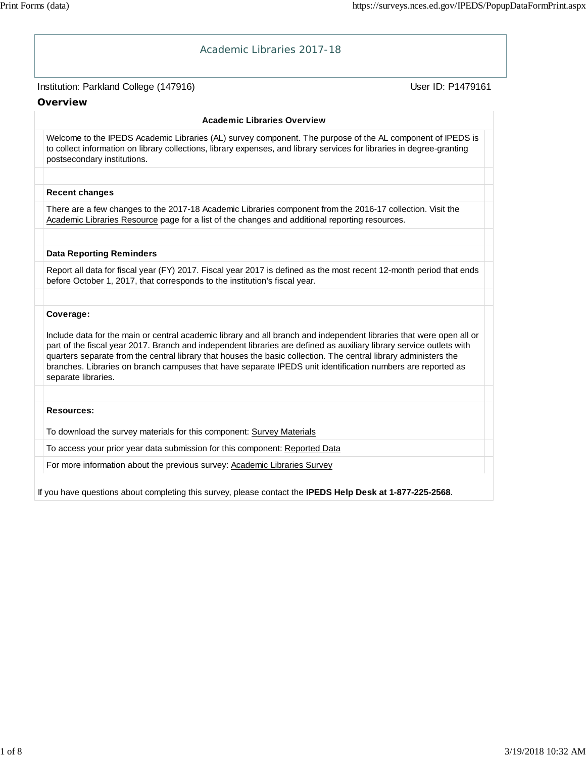| Academic Libraries 2017-18                                                                                                                                                                                                                                                                                                                                                                                                                                                                                          |                   |
|---------------------------------------------------------------------------------------------------------------------------------------------------------------------------------------------------------------------------------------------------------------------------------------------------------------------------------------------------------------------------------------------------------------------------------------------------------------------------------------------------------------------|-------------------|
| Institution: Parkland College (147916)                                                                                                                                                                                                                                                                                                                                                                                                                                                                              | User ID: P1479161 |
| Overview                                                                                                                                                                                                                                                                                                                                                                                                                                                                                                            |                   |
| <b>Academic Libraries Overview</b>                                                                                                                                                                                                                                                                                                                                                                                                                                                                                  |                   |
| Welcome to the IPEDS Academic Libraries (AL) survey component. The purpose of the AL component of IPEDS is<br>to collect information on library collections, library expenses, and library services for libraries in degree-granting<br>postsecondary institutions.                                                                                                                                                                                                                                                 |                   |
| <b>Recent changes</b>                                                                                                                                                                                                                                                                                                                                                                                                                                                                                               |                   |
| There are a few changes to the 2017-18 Academic Libraries component from the 2016-17 collection. Visit the<br>Academic Libraries Resource page for a list of the changes and additional reporting resources.                                                                                                                                                                                                                                                                                                        |                   |
| <b>Data Reporting Reminders</b>                                                                                                                                                                                                                                                                                                                                                                                                                                                                                     |                   |
| Report all data for fiscal year (FY) 2017. Fiscal year 2017 is defined as the most recent 12-month period that ends<br>before October 1, 2017, that corresponds to the institution's fiscal year.                                                                                                                                                                                                                                                                                                                   |                   |
|                                                                                                                                                                                                                                                                                                                                                                                                                                                                                                                     |                   |
| Coverage:<br>Include data for the main or central academic library and all branch and independent libraries that were open all or<br>part of the fiscal year 2017. Branch and independent libraries are defined as auxiliary library service outlets with<br>quarters separate from the central library that houses the basic collection. The central library administers the<br>branches. Libraries on branch campuses that have separate IPEDS unit identification numbers are reported as<br>separate libraries. |                   |
|                                                                                                                                                                                                                                                                                                                                                                                                                                                                                                                     |                   |
| <b>Resources:</b><br>To download the survey materials for this component: Survey Materials                                                                                                                                                                                                                                                                                                                                                                                                                          |                   |
| To access your prior year data submission for this component: Reported Data                                                                                                                                                                                                                                                                                                                                                                                                                                         |                   |
| For more information about the previous survey: Academic Libraries Survey                                                                                                                                                                                                                                                                                                                                                                                                                                           |                   |
| If you have questions about completing this survey, please contact the IPEDS Help Desk at 1-877-225-2568.                                                                                                                                                                                                                                                                                                                                                                                                           |                   |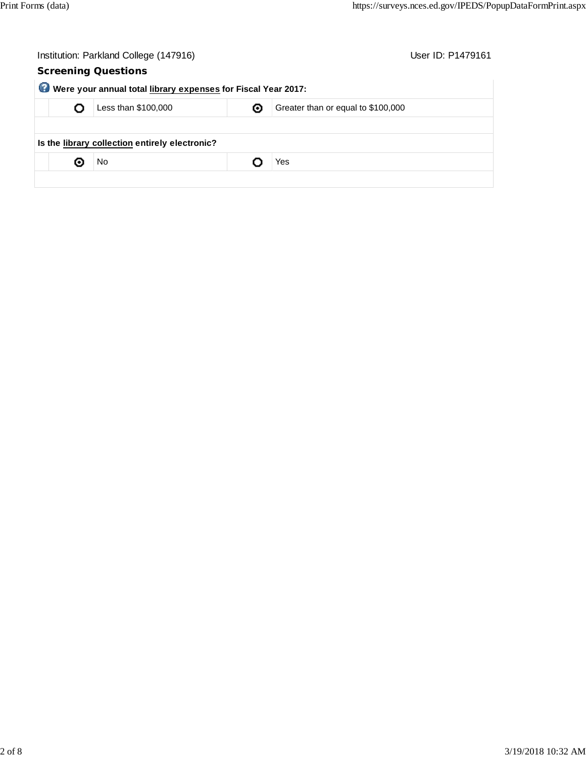|                                                               | User ID: P1479161<br>Institution: Parkland College (147916) |                     |   |                                    |  |  |  |  |
|---------------------------------------------------------------|-------------------------------------------------------------|---------------------|---|------------------------------------|--|--|--|--|
|                                                               | <b>Screening Questions</b>                                  |                     |   |                                    |  |  |  |  |
| Were your annual total library expenses for Fiscal Year 2017: |                                                             |                     |   |                                    |  |  |  |  |
|                                                               |                                                             | Less than \$100,000 | ⊙ | Greater than or equal to \$100,000 |  |  |  |  |
|                                                               |                                                             |                     |   |                                    |  |  |  |  |
| Is the library collection entirely electronic?                |                                                             |                     |   |                                    |  |  |  |  |
|                                                               | о                                                           | No                  |   | Yes                                |  |  |  |  |
|                                                               |                                                             |                     |   |                                    |  |  |  |  |
|                                                               |                                                             |                     |   |                                    |  |  |  |  |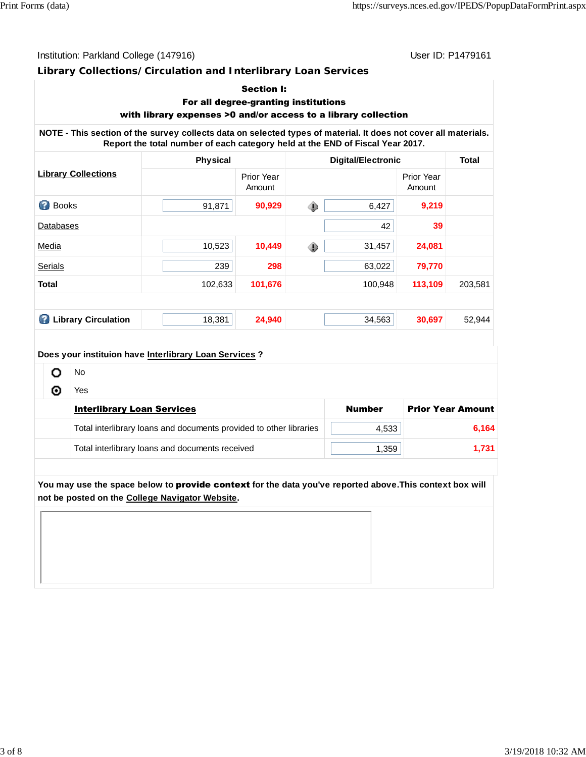Institution: Parkland College (147916) Contract College (147916)

#### **Library Collections/Circulation and Interlibrary Loan Services**

#### Section I:

# For all degree-granting institutions

# with library expenses >0 and/or access to a library collection

**NOTE - This section of the survey collects data on selected types of material. It does not cover all materials. Report the total number of each category held at the END of Fiscal Year 2017.**

|                                 | <b>Physical</b> |                             | <b>Digital/Electronic</b> | <b>Total</b>                |         |
|---------------------------------|-----------------|-----------------------------|---------------------------|-----------------------------|---------|
| <b>Library Collections</b>      |                 | <b>Prior Year</b><br>Amount |                           | <b>Prior Year</b><br>Amount |         |
| Ø<br><b>Books</b>               | 91,871          | 90,929                      | ◈<br>6,427                | 9,219                       |         |
| <b>Databases</b>                |                 |                             | 42                        | 39                          |         |
| Media                           | 10,523          | 10,449                      | ◈<br>31,457               | 24,081                      |         |
| Serials                         | 239             | 298                         | 63,022                    | 79,770                      |         |
| <b>Total</b>                    | 102,633         | 101,676                     | 100,948                   | 113,109                     | 203,581 |
|                                 |                 |                             |                           |                             |         |
| <b>Library Circulation</b><br>Ø | 18,381          | 24,940                      | 34,563                    | 30,697                      | 52,944  |

#### **Does your instituion have Interlibrary Loan Services ?**

| No                                                                 |               |                          |
|--------------------------------------------------------------------|---------------|--------------------------|
| Yes                                                                |               |                          |
| <b>Interlibrary Loan Services</b>                                  | <b>Number</b> | <b>Prior Year Amount</b> |
| Total interlibrary loans and documents provided to other libraries | 4,533         | 6,164                    |
| Total interlibrary loans and documents received                    | 1,359         | 1.731                    |

**You may use the space below to** provide context **for the data you've reported above.This context box will not be posted on the College Navigator Website.**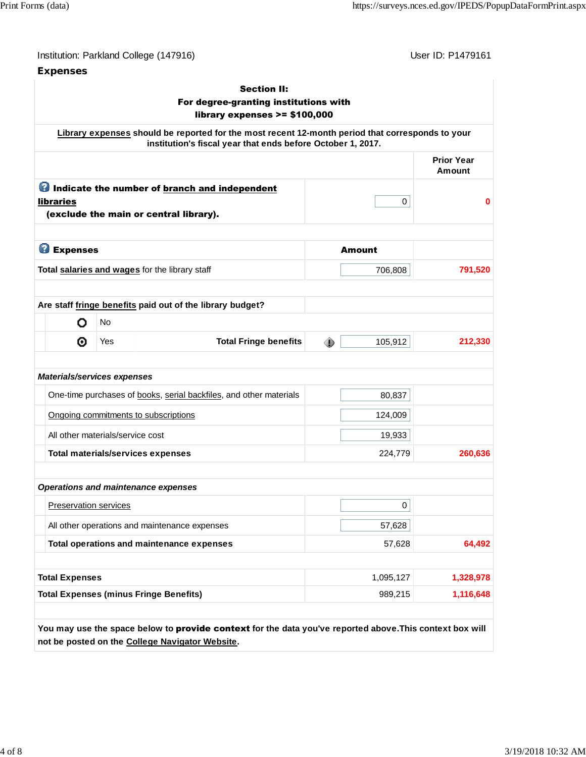| Institution: Parkland College (147916) |  |  |  |
|----------------------------------------|--|--|--|
|----------------------------------------|--|--|--|

**Expenses**

User ID: P1479161

| <b>Section II:</b><br>For degree-granting institutions with<br>library expenses $>= $100,000$ |                                  |                  |                                                                                                                                                                 |   |           |                                    |
|-----------------------------------------------------------------------------------------------|----------------------------------|------------------|-----------------------------------------------------------------------------------------------------------------------------------------------------------------|---|-----------|------------------------------------|
|                                                                                               |                                  |                  | Library expenses should be reported for the most recent 12-month period that corresponds to your<br>institution's fiscal year that ends before October 1, 2017. |   |           |                                    |
|                                                                                               |                                  |                  |                                                                                                                                                                 |   |           | <b>Prior Year</b><br><b>Amount</b> |
|                                                                                               | <b>libraries</b>                 |                  | <b>O</b> Indicate the number of branch and independent<br>(exclude the main or central library).                                                                |   | 0         | $\bf{0}$                           |
|                                                                                               | <b>B</b> Expenses                |                  |                                                                                                                                                                 |   | Amount    |                                    |
|                                                                                               |                                  |                  | Total salaries and wages for the library staff                                                                                                                  |   | 706,808   | 791,520                            |
|                                                                                               | O<br>◉                           | <b>No</b><br>Yes | <b>Total Fringe benefits</b>                                                                                                                                    | ◈ | 105,912   | 212,330                            |
|                                                                                               |                                  |                  |                                                                                                                                                                 |   |           |                                    |
|                                                                                               | Materials/services expenses      |                  |                                                                                                                                                                 |   |           |                                    |
|                                                                                               |                                  |                  | One-time purchases of books, serial backfiles, and other materials                                                                                              |   | 80,837    |                                    |
|                                                                                               |                                  |                  | Ongoing commitments to subscriptions                                                                                                                            |   | 124,009   |                                    |
|                                                                                               | All other materials/service cost |                  |                                                                                                                                                                 |   | 19,933    |                                    |
|                                                                                               |                                  |                  | <b>Total materials/services expenses</b>                                                                                                                        |   | 224,779   | 260,636                            |
|                                                                                               |                                  |                  | <b>Operations and maintenance expenses</b>                                                                                                                      |   |           |                                    |
|                                                                                               | <b>Preservation services</b>     |                  |                                                                                                                                                                 |   | 0         |                                    |
|                                                                                               |                                  |                  | All other operations and maintenance expenses                                                                                                                   |   | 57,628    |                                    |
|                                                                                               |                                  |                  | Total operations and maintenance expenses                                                                                                                       |   | 57,628    | 64,492                             |
|                                                                                               | <b>Total Expenses</b>            |                  |                                                                                                                                                                 |   | 1,095,127 | 1,328,978                          |
|                                                                                               |                                  |                  | <b>Total Expenses (minus Fringe Benefits)</b>                                                                                                                   |   | 989,215   | 1,116,648                          |

**You may use the space below to** provide context **for the data you've reported above.This context box will not be posted on the College Navigator Website.**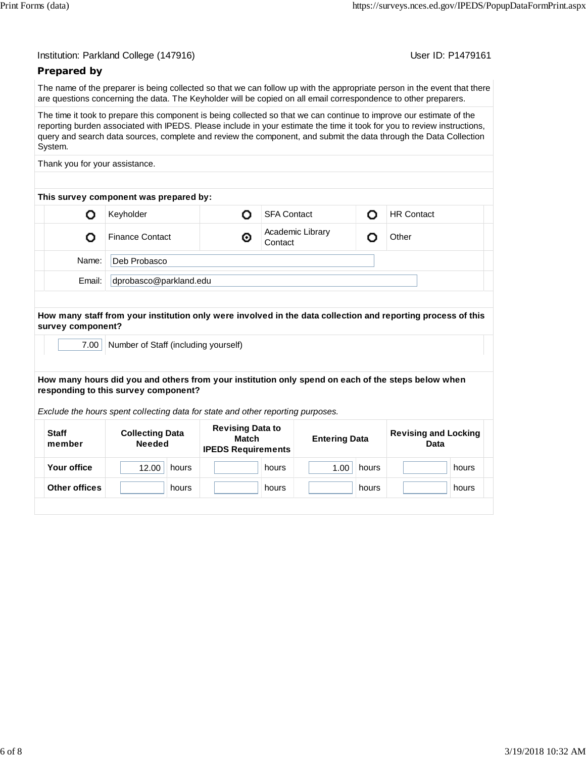User ID: P1479161

## **Prepared by**

The name of the preparer is being collected so that we can follow up with the appropriate person in the event that there are questions concerning the data. The Keyholder will be copied on all email correspondence to other preparers.

The time it took to prepare this component is being collected so that we can continue to improve our estimate of the reporting burden associated with IPEDS. Please include in your estimate the time it took for you to review instructions, query and search data sources, complete and review the component, and submit the data through the Data Collection System.

Thank you for your assistance.

| This survey component was prepared by: |                        |   |                             |  |                   |  |  |
|----------------------------------------|------------------------|---|-----------------------------|--|-------------------|--|--|
|                                        | Keyholder              |   | <b>SFA Contact</b>          |  | <b>HR Contact</b> |  |  |
|                                        | <b>Finance Contact</b> | ⊚ | Academic Library<br>Contact |  | Other             |  |  |
| Deb Probasco<br>Name:                  |                        |   |                             |  |                   |  |  |
| dprobasco@parkland.edu<br>Email:       |                        |   |                             |  |                   |  |  |
|                                        |                        |   |                             |  |                   |  |  |

**How many staff from your institution only were involved in the data collection and reporting process of this survey component?**

7.00 | Number of Staff (including yourself)

**How many hours did you and others from your institution only spend on each of the steps below when responding to this survey component?**

*Exclude the hours spent collecting data for state and other reporting purposes.*

| <b>Staff</b><br>member | <b>Collecting Data</b><br><b>Needed</b> | <b>Revising Data to</b><br>Match<br><b>IPEDS Requirements</b> | <b>Entering Data</b> | <b>Revising and Locking</b><br>Data |  |
|------------------------|-----------------------------------------|---------------------------------------------------------------|----------------------|-------------------------------------|--|
| Your office            | 12.00<br>hours                          | hours                                                         | 1.00<br>hours        | hours                               |  |
| Other offices          | hours                                   | hours                                                         | hours                | hours                               |  |
|                        |                                         |                                                               |                      |                                     |  |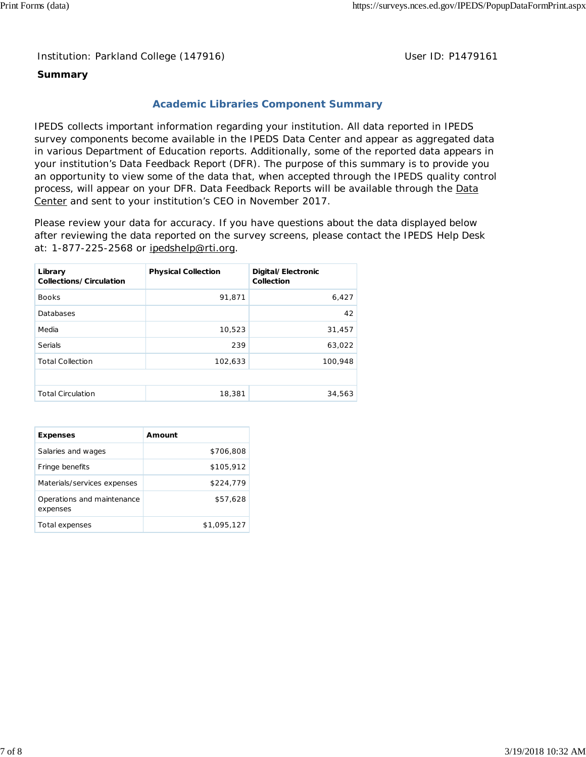Institution: Parkland College (147916) **Distribution: Parkland College (1479161** College College College College College College College College College College College College College College College College College Colle

#### **Summary**

### **Academic Libraries Component Summary**

IPEDS collects important information regarding your institution. All data reported in IPEDS survey components become available in the IPEDS Data Center and appear as aggregated data in various Department of Education reports. Additionally, some of the reported data appears in your institution's Data Feedback Report (DFR). The purpose of this summary is to provide you an opportunity to view some of the data that, when accepted through the IPEDS quality control process, will appear on your DFR. Data Feedback Reports will be available through the Data Center and sent to your institution's CEO in November 2017.

Please review your data for accuracy. If you have questions about the data displayed below after reviewing the data reported on the survey screens, please contact the IPEDS Help Desk at: 1-877-225-2568 or ipedshelp@rti.org.

| Library<br>Collections/Circulation | <b>Physical Collection</b> | Digital/Electronic<br>Collection |
|------------------------------------|----------------------------|----------------------------------|
| <b>Books</b>                       | 91,871                     | 6,427                            |
| Databases                          |                            | 42                               |
| Media                              | 10,523                     | 31,457                           |
| Serials                            | 239                        | 63,022                           |
| <b>Total Collection</b>            | 102,633                    | 100,948                          |
|                                    |                            |                                  |
| <b>Total Circulation</b>           | 18,381                     | 34,563                           |

| <b>Expenses</b>                        | Amount      |
|----------------------------------------|-------------|
| Salaries and wages                     | \$706.808   |
| Fringe benefits                        | \$105.912   |
| Materials/services expenses            | \$224.779   |
| Operations and maintenance<br>expenses | \$57,628    |
| Total expenses                         | \$1,095,127 |